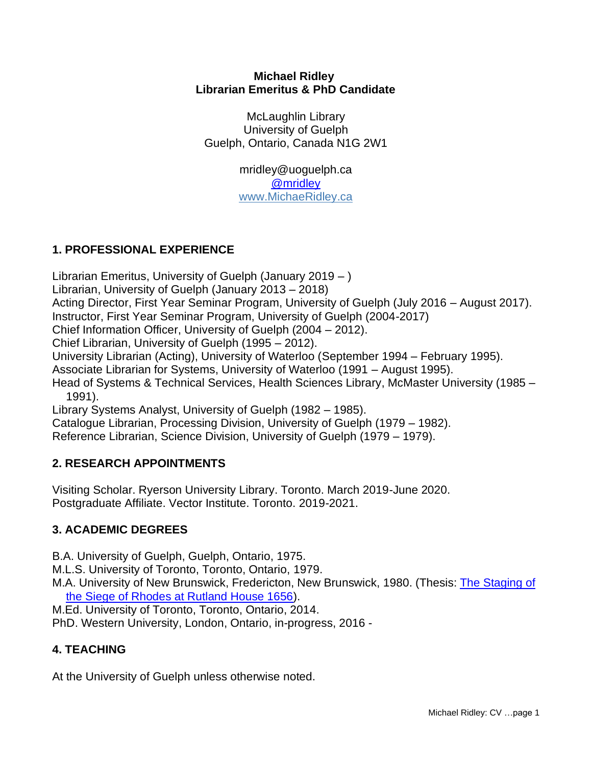#### **Michael Ridley Librarian Emeritus & PhD Candidate**

McLaughlin Library University of Guelph Guelph, Ontario, Canada N1G 2W1

> mridley@uoguelph.ca [@mridley](http://www.twitter.com/mridley) [www.MichaeRidley.ca](http://www.michaelridley.ca/)

### **1. PROFESSIONAL EXPERIENCE**

Librarian Emeritus, University of Guelph (January 2019 – )

Librarian, University of Guelph (January 2013 – 2018)

Acting Director, First Year Seminar Program, University of Guelph (July 2016 – August 2017).

Instructor, First Year Seminar Program, University of Guelph (2004-2017)

Chief Information Officer, University of Guelph (2004 – 2012).

Chief Librarian, University of Guelph (1995 – 2012).

University Librarian (Acting), University of Waterloo (September 1994 – February 1995).

Associate Librarian for Systems, University of Waterloo (1991 – August 1995).

Head of Systems & Technical Services, Health Sciences Library, McMaster University (1985 – 1991).

Library Systems Analyst, University of Guelph (1982 – 1985).

Catalogue Librarian, Processing Division, University of Guelph (1979 – 1982).

Reference Librarian, Science Division, University of Guelph (1979 – 1979).

### **2. RESEARCH APPOINTMENTS**

Visiting Scholar. Ryerson University Library. Toronto. March 2019-June 2020. Postgraduate Affiliate. Vector Institute. Toronto. 2019-2021.

### **3. ACADEMIC DEGREES**

B.A. University of Guelph, Guelph, Ontario, 1975.

M.L.S. University of Toronto, Toronto, Ontario, 1979.

M.A. University of New Brunswick, Fredericton, New Brunswick, 1980. (Thesis: [The Staging of](https://www.dropbox.com/s/hm1fiztje0t1ce3/Staging%20of%20the%20Siege%20of%20Rhodes%20-%20AMR%20MA%20Thesis.pdf?dl=0)  [the Siege of Rhodes at Rutland House 1656\)](https://www.dropbox.com/s/hm1fiztje0t1ce3/Staging%20of%20the%20Siege%20of%20Rhodes%20-%20AMR%20MA%20Thesis.pdf?dl=0).

M.Ed. University of Toronto, Toronto, Ontario, 2014.

PhD. Western University, London, Ontario, in-progress, 2016 -

# **4. TEACHING**

At the University of Guelph unless otherwise noted.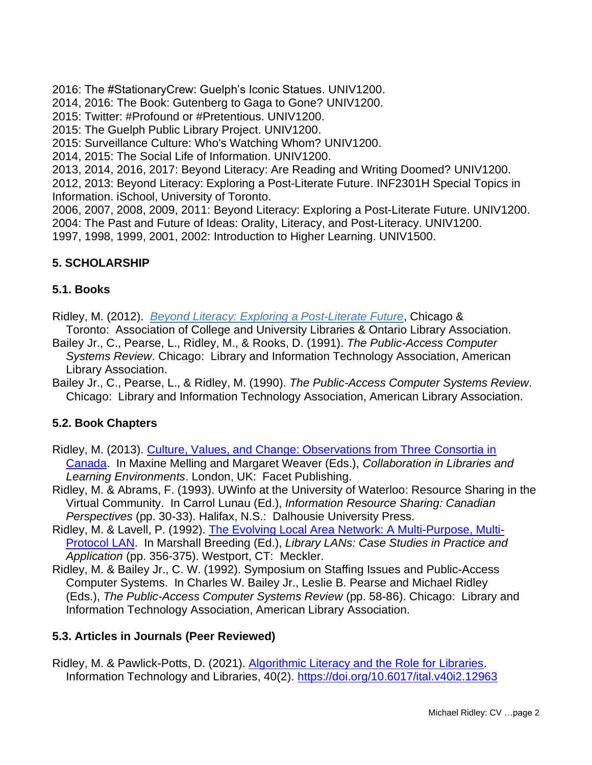2016: The #StationaryCrew: Guelph's Iconic Statues. UNIV1200.

2014, 2016: The Book: Gutenberg to Gaga to Gone? UNIV1200.

2015: Twitter: #Profound or #Pretentious. UNIV1200.

2015: The Guelph Public Library Project. UNIV1200.

2015: Surveillance Culture: Who's Watching Whom? UNIV1200.

2014, 2015: The Social Life of Information. UNIV1200.

2013, 2014, 2016, 2017: Beyond Literacy: Are Reading and Writing Doomed? UNIV1200.

2012, 2013: Beyond Literacy: Exploring a Post-Literate Future. INF2301H Special Topics in Information. iSchool, University of Toronto.

2006, 2007, 2008, 2009, 2011: Beyond Literacy: Exploring a Post-Literate Future. UNIV1200. 2004: The Past and Future of Ideas: Orality, Literacy, and Post-Literacy. UNIV1200.

1997, 1998, 1999, 2001, 2002: Introduction to Higher Learning. UNIV1500.

# **5. SCHOLARSHIP**

### **5.1. Books**

Ridley, M. (2012). *Beyond Literacy: Exploring a [Post-Literate](http://www.beyondliteracy.com/) Future*, Chicago &

Toronto: Association of College and University Libraries & Ontario Library Association.

- Bailey Jr., C., Pearse, L., Ridley, M., & Rooks, D. (1991). *The Public-Access Computer Systems Review*. Chicago: Library and Information Technology Association, American Library Association.
- Bailey Jr., C., Pearse, L., & Ridley, M. (1990). *The Public-Access Computer Systems Review*. Chicago: Library and Information Technology Association, American Library Association.

### **5.2. Book Chapters**

- Ridley, M. (2013). Culture, Values, and Change: [Observations](https://www.dropbox.com/s/dqn8aq5tfi0zlyu/Ridley-Values-Culture-Change-2013.pdf?dl=0) from Three Consortia in [Canada.](https://www.dropbox.com/s/dqn8aq5tfi0zlyu/Ridley-Values-Culture-Change-2013.pdf?dl=0) In Maxine Melling and Margaret Weaver (Eds.), *Collaboration in Libraries and Learning Environments*. London, UK: Facet Publishing.
- Ridley, M. & Abrams, F. (1993). UWinfo at the University of Waterloo: Resource Sharing in the Virtual Community. In Carrol Lunau (Ed.), *Information Resource Sharing: Canadian Perspectives* (pp. 30-33). Halifax, N.S.: Dalhousie University Press.
- Ridley, M. & Lavell, P. (1992). The Evolving Local Area Network: A [Multi-Purpose,](https://www.dropbox.com/s/qms5yekr62mxl7b/Ridley%20-%20LAN%201992.pdf?dl=0) Multi-[Protocol](https://www.dropbox.com/s/qms5yekr62mxl7b/Ridley%20-%20LAN%201992.pdf?dl=0) LAN. In Marshall Breeding (Ed.), *Library LANs: Case Studies in Practice and Application* (pp. 356-375). Westport, CT: Meckler.
- Ridley, M. & Bailey Jr., C. W. (1992). Symposium on Staffing Issues and Public-Access Computer Systems. In Charles W. Bailey Jr., Leslie B. Pearse and Michael Ridley (Eds.), *The Public-Access Computer Systems Review* (pp. 58-86). Chicago: Library and Information Technology Association, American Library Association.

### **5.3. Articles in Journals (Peer Reviewed)**

Ridley, M. & Pawlick-Potts, D. (2021). [Algorithmic Literacy and the Role for Libraries.](https://doi.org/10.6017/ital.v40i2.12963) Information Technology and Libraries, 40(2).<https://doi.org/10.6017/ital.v40i2.12963>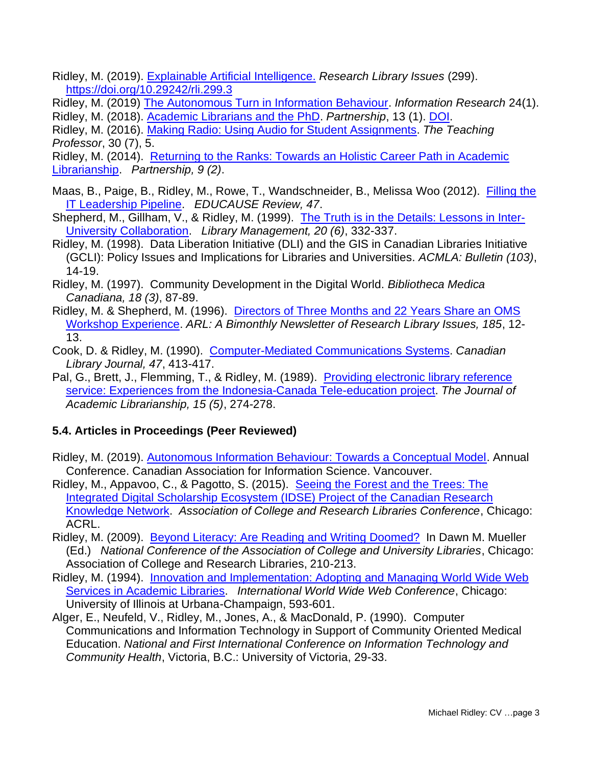- Ridley, M. (2019). [Explainable Artificial Intelligence.](https://publications.arl.org/18nm1df/) *Research Library Issues* (299). <https://doi.org/10.29242/rli.299.3>
- Ridley, M. (2019) [The Autonomous Turn in Information Behaviour.](http://informationr.net/ir/24-1/isic2018/isic1832.html) *Information Research* 24(1). Ridley, M. (2018). [Academic Librarians and the PhD.](https://www.dropbox.com/s/goxw7hr00zr7lpu/Ridley%20-%20Ac%20Libs%20PhD%202018.pdf?dl=0) *Partnership*, 13 (1). [DOI.](https://doi.org/10.21083/partnership.v13i1.3971)
- Ridley, M. (2016). [Making Radio: Using Audio for Student Assignments.](https://www.dropbox.com/s/6j00mhtjef5fdtl/Ridley%20-%20Making%20Radio%20Teaching%20Professor%202016.pdf?dl=0) *The Teaching Professor*, 30 (7), 5.
- Ridley, M. (2014). [Returning](https://www.dropbox.com/s/jcnmrtd4au7un0q/Ridley%20-%20Returning%20to%20the%20Ranks%202014.pdf?dl=0) to the Ranks: Towards an Holistic Career Path in Academic [Librarianship.](https://www.dropbox.com/s/jcnmrtd4au7un0q/Ridley%20-%20Returning%20to%20the%20Ranks%202014.pdf?dl=0) *Partnership, 9 (2)*.
- Maas, B., Paige, B., Ridley, M., Rowe, T., Wandschneider, B., Melissa Woo (2012). [Filling](https://www.dropbox.com/s/7fyqh7jzf2h1hax/Ridley%20-%20IT%20Leadership%20Pipeline%202012.pdf?dl=0) the IT [Leadership](https://www.dropbox.com/s/7fyqh7jzf2h1hax/Ridley%20-%20IT%20Leadership%20Pipeline%202012.pdf?dl=0) Pipeline. *EDUCAUSE Review, 47*.
- Shepherd, M., Gillham, V., & Ridley, M. (1999). The Truth is in the Details: [Lessons](https://www.dropbox.com/s/adn37eiss4k498y/Ridley%20-%20Truth-in-the-Details%201999.pdf?dl=0) in Inter-University [Collaboration.](https://www.dropbox.com/s/adn37eiss4k498y/Ridley%20-%20Truth-in-the-Details%201999.pdf?dl=0) *Library Management, 20 (6)*, 332-337.
- Ridley, M. (1998). Data Liberation Initiative (DLI) and the GIS in Canadian Libraries Initiative (GCLI): Policy Issues and Implications for Libraries and Universities. *ACMLA: Bulletin (103)*, 14-19.
- Ridley, M. (1997). Community Development in the Digital World. *Bibliotheca Medica Canadiana, 18 (3)*, 87-89.
- Ridley, M. & Shepherd, M. (1996). [Directors](https://www.dropbox.com/s/y2ovfgpkd20ic2i/Ridley%20-%20Directors-3months-22years%201996.pdf?dl=0) of Three Months and 22 Years Share an OMS Workshop [Experience.](https://www.dropbox.com/s/y2ovfgpkd20ic2i/Ridley%20-%20Directors-3months-22years%201996.pdf?dl=0) *ARL: A Bimonthly Newsletter of Research Library Issues, 185*, 12- 13.
- Cook, D. & Ridley, M. (1990). [Computer-Mediated](https://www.dropbox.com/s/n9z60u12tdexzfm/Ridley%20-%20CMCS%20CLJ%201990.pdf?dl=0) Communications Systems. *Canadian Library Journal, 47*, 413-417.
- Pal, G., Brett, J., Flemming, T., & Ridley, M. (1989). [Providing](https://www.dropbox.com/s/8dtc8beg3fwnp6r/Ridley%20-%20Electronic%20Ref%20Service%201989.pdf?dl=0) electronic library reference service: Experiences from the [Indonesia-Canada](https://www.dropbox.com/s/8dtc8beg3fwnp6r/Ridley%20-%20Electronic%20Ref%20Service%201989.pdf?dl=0) Tele-education project. *The Journal of Academic Librarianship, 15 (5)*, 274-278.

# **5.4. Articles in Proceedings (Peer Reviewed)**

- Ridley, M. (2019). [Autonomous Information Behaviour: Towards a Conceptual Model.](https://www.dropbox.com/s/5funio2qzdcab3d/Ridley%20-%20AIB%20CAIS%202019.pdf?dl=0) Annual Conference. Canadian Association for Information Science. Vancouver.
- Ridley, M., Appavoo, C., & Pagotto, S. (2015). [Seeing](https://www.dropbox.com/s/7opqz5yctdluhub/Ridley%20Appavoo%20Pagotto%20-%20Seeing%20the%20Trees%202015.pdf?dl=0) the Forest and the Trees: The Integrated Digital [Scholarship](https://www.dropbox.com/s/7opqz5yctdluhub/Ridley%20Appavoo%20Pagotto%20-%20Seeing%20the%20Trees%202015.pdf?dl=0) Ecosystem (IDSE) Project of the Canadian Research [Knowledge](https://www.dropbox.com/s/7opqz5yctdluhub/Ridley%20Appavoo%20Pagotto%20-%20Seeing%20the%20Trees%202015.pdf?dl=0) Network. *Association of College and Research Libraries Conference*, Chicago: ACRL.
- Ridley, M. (2009). Beyond Literacy: Are Reading and Writing [Doomed?](https://www.dropbox.com/s/kg43vzsgta013hy/Ridley%20-%20Beyond%20Literacy%202009.pdf?dl=0) In Dawn M. Mueller (Ed.) *National Conference of the Association of College and University Libraries*, Chicago: Association of College and Research Libraries, 210-213.
- Ridley, M. (1994). Innovation and [Implementation:](https://www.dropbox.com/s/fg65uw3gqm8eqn3/Ridley%20-%20Innovation-and-Implementation-1994.pdf?dl=0) Adopting and Managing World Wide Web Services in [Academic](https://www.dropbox.com/s/fg65uw3gqm8eqn3/Ridley%20-%20Innovation-and-Implementation-1994.pdf?dl=0) Libraries. *International World Wide Web Conference*, Chicago: University of Illinois at Urbana-Champaign, 593-601.
- Alger, E., Neufeld, V., Ridley, M., Jones, A., & MacDonald, P. (1990). Computer Communications and Information Technology in Support of Community Oriented Medical Education. *National and First International Conference on Information Technology and Community Health*, Victoria, B.C.: University of Victoria, 29-33.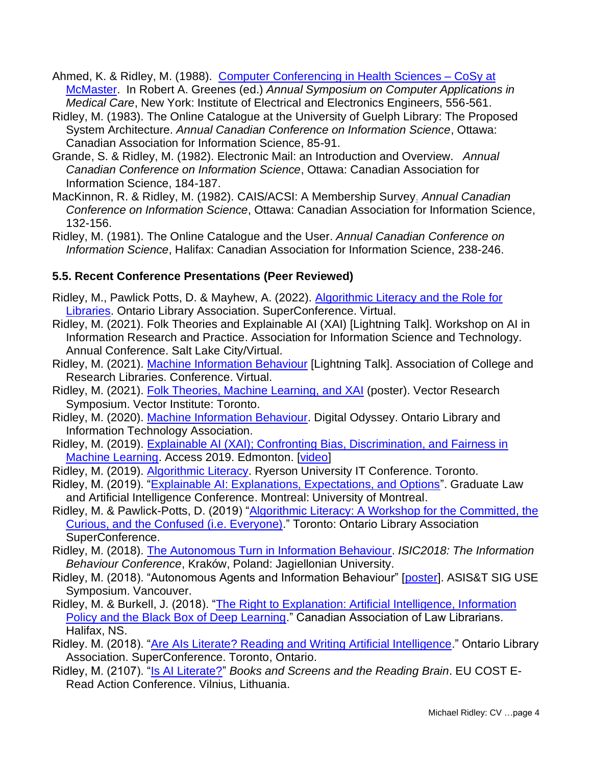- Ahmed, K. & Ridley, M. (1988). Computer [Conferencing](https://www.dropbox.com/s/unkmlosk30mwh5y/Ahmed-Ridley-Computer-Conferencing-1988.pdf?dl=0) in Health Sciences CoSy at [McMaster.](https://www.dropbox.com/s/unkmlosk30mwh5y/Ahmed-Ridley-Computer-Conferencing-1988.pdf?dl=0) In Robert A. Greenes (ed.) *Annual Symposium on Computer Applications in Medical Care*, New York: Institute of Electrical and Electronics Engineers, 556-561.
- Ridley, M. (1983). The Online Catalogue at the University of Guelph Library: The Proposed System Architecture. *Annual Canadian Conference on Information Science*, Ottawa: Canadian Association for Information Science, 85-91.
- Grande, S. & Ridley, M. (1982). Electronic Mail: an Introduction and Overview. *Annual Canadian Conference on Information Science*, Ottawa: Canadian Association for Information Science, 184-187.
- MacKinnon, R. & Ridley, M. (1982). CAIS/ACSI: A Membership Survey. *Annual Canadian Conference on Information Science*, Ottawa: Canadian Association for Information Science, 132-156.
- Ridley, M. (1981). The Online Catalogue and the User. *Annual Canadian Conference on Information Science*, Halifax: Canadian Association for Information Science, 238-246.

### **5.5. Recent Conference Presentations (Peer Reviewed)**

- Ridley, M., Pawlick Potts, D. & Mayhew, A. (2022). [Algorithmic Literacy and the Role for](https://www.dropbox.com/s/bubv6a7jhfleyu1/Algorithmic%20Literacy%20OLA%20SC.mp4?dl=0)  [Libraries.](https://www.dropbox.com/s/bubv6a7jhfleyu1/Algorithmic%20Literacy%20OLA%20SC.mp4?dl=0) Ontario Library Association. SuperConference. Virtual.
- Ridley, M. (2021). Folk Theories and Explainable AI (XAI) [Lightning Talk]. Workshop on AI in Information Research and Practice. Association for Information Science and Technology. Annual Conference. Salt Lake City/Virtual.
- Ridley, M. (2021). [Machine Information Behaviour](https://www.dropbox.com/s/1zr1056zq6s87cm/Ridley%20-%20MIB%20ACRL%202021.mp4?dl=0) [Lightning Talk]. Association of College and Research Libraries. Conference. Virtual.
- Ridley, M. (2021). [Folk Theories, Machine Learning, and XAI](https://www.dropbox.com/s/rqvsi6bpo4vfnp6/Ridley%20-%20FT%20ML%20XAI%20Vector%20Poster%202021.jpg?dl=0) (poster). Vector Research Symposium. Vector Institute: Toronto.
- Ridley, M. (2020). [Machine Information Behaviour.](https://www.dropbox.com/s/shlyg8ye00j4t0w/Ridley%20-%20MIB%20OLA%202020.pdf?dl=0) Digital Odyssey. Ontario Library and Information Technology Association.
- Ridley, M. (2019). [Explainable AI \(XAI\); Confronting Bias, Discrimination, and Fairness in](https://www.dropbox.com/s/pnq9gyc6bb94aqw/Ridley%20-%20XAI%20-%20Access%202019.pdf?dl=0)  [Machine Learning.](https://www.dropbox.com/s/pnq9gyc6bb94aqw/Ridley%20-%20XAI%20-%20Access%202019.pdf?dl=0) Access 2019. Edmonton. [\[video\]](https://youtu.be/hBK7Uex4QAY)
- Ridley, M. (2019). [Algorithmic Literacy.](https://www.dropbox.com/s/y4dqievgzed8vpl/Ridley%20-%20Algorithmic%20Literacy%20%20-%20Ryerson%20IT%20Conf%202019.pdf?dl=0) Ryerson University IT Conference. Toronto.
- Ridley, M. (2019). ["Explainable AI: Explanations, Expectations, and Options"](https://www.dropbox.com/s/8hg77lkeopuaa8s/Ridley%20-%20XAI%20Expectations%20Options.pdf?dl=0). Graduate Law and Artificial Intelligence Conference. Montreal: University of Montreal.
- Ridley, M. & Pawlick-Potts, D. (2019) ["Algorithmic Literacy: A Workshop for the Committed, the](https://www.dropbox.com/s/vy2xn2ad4e0ton2/Ridley%20-%20Algorithmic%20Literacy%20Workshop%20OLA%202019.pdf?dl=0)  [Curious, and the Confused \(i.e. Everyone\).](https://www.dropbox.com/s/vy2xn2ad4e0ton2/Ridley%20-%20Algorithmic%20Literacy%20Workshop%20OLA%202019.pdf?dl=0)" Toronto: Ontario Library Association SuperConference.
- Ridley, M. (2018). [The Autonomous Turn in Information Behaviour.](https://www.dropbox.com/s/jq7mmi5an97bu97/Ridley%20-%20Autonomous%20Information%20Behaviour%202018.pdf?dl=0) *ISIC2018: The Information Behaviour Conference*, Kraków, Poland: Jagiellonian University.
- Ridley, M. (2018). "Autonomous Agents and Information Behaviour" [\[poster\]](https://www.dropbox.com/s/h9jzujdx0vzb45w/Ridley%20-%20AIA%20and%20IB%20SIG%20USE%202018.pdf?dl=0). ASIS&T SIG USE Symposium. Vancouver.
- Ridley, M. & Burkell, J. (2018). "The Right to Explanation: Artificial Intelligence, Information [Policy and the Black Box of Deep Learning.](https://www.dropbox.com/s/uq5a1sxennspow6/Ridley%20Burkell%20Right%20to%20Explanation%20CALL%202018.pdf?dl=0)" Canadian Association of Law Librarians. Halifax, NS.
- Ridley. M. (2018). ["Are AIs Literate? Reading and Writing Artificial Intelligence.](https://www.dropbox.com/s/04z8fexen2je12i/AI%20Literacy%20OLA%20SC%202018.pptx?dl=0)" Ontario Library Association. SuperConference. Toronto, Ontario.
- Ridley, M. (2107). ["Is AI Literate?"](https://osf.io/preprints/lissa/y9swd) *Books and Screens and the Reading Brain*. EU COST E-Read Action Conference. Vilnius, Lithuania.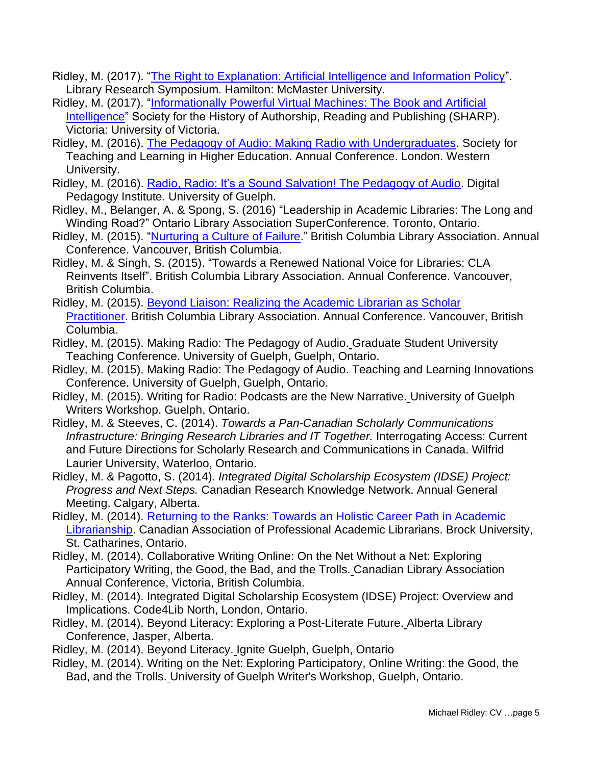- Ridley, M. (2017). ["The Right to Explanation: Artificial Intelligence and Information Policy"](https://www.dropbox.com/s/eljqxhxsjb02ryc/AI-Explanation-McMaster-2017.pdf?dl=0). Library Research Symposium. Hamilton: McMaster University.
- Ridley, M. (2017). ["Informationally Powerful Virtual Machines: The Book and Artificial](https://www.dropbox.com/s/vyy2wgsrrj6xgpb/The%20Book%20and%20AI.pdf?dl=0)  [Intelligence"](https://www.dropbox.com/s/vyy2wgsrrj6xgpb/The%20Book%20and%20AI.pdf?dl=0) Society for the History of Authorship, Reading and Publishing (SHARP). Victoria: University of Victoria.
- Ridley, M. (2016). [The Pedagogy of Audio: Making Radio with Undergraduates.](https://www.dropbox.com/s/u2k08hldccckp1f/Ridley%20-%20Pedagogy%20of%20Radio%20STLHE%202016.pptx?dl=0) Society for Teaching and Learning in Higher Education. Annual Conference. London. Western University.
- Ridley, M. (2016). [Radio, Radio: It's a Sound Salvation!](https://www.dropbox.com/s/asql37mfuodhdjd/Ridley%20-%20Radio%20Radio%20Digital%20Pegagogy%20May%202016.pdf?dl=0) The Pedagogy of Audio. Digital Pedagogy Institute. University of Guelph.
- Ridley, M., Belanger, A. & Spong, S. (2016) "Leadership in Academic Libraries: The Long and Winding Road?" Ontario Library Association SuperConference. Toronto, Ontario.
- Ridley, M. (2015). ["Nurturing](https://www.dropbox.com/s/uqkd3f8sq31hbh7/Ridley%20-%20BCLA%20Culture%20of%20Failure.pdf?dl=0) a Culture of Failure." British Columbia Library Association. Annual Conference. Vancouver, British Columbia.
- Ridley, M. & Singh, S. (2015). "Towards a Renewed National Voice for Libraries: CLA Reinvents Itself". British Columbia Library Association. Annual Conference. Vancouver, British Columbia.
- Ridley, M. (2015). Beyond Liaison: Realizing the [Academic](https://www.dropbox.com/s/1dm07q5ivmtrin7/Ridley%20-%20Beyond%20Liaison%20BCLA%202015.pdf?dl=0) Librarian as Scholar [Practitioner.](https://www.dropbox.com/s/1dm07q5ivmtrin7/Ridley%20-%20Beyond%20Liaison%20BCLA%202015.pdf?dl=0) British Columbia Library Association. Annual Conference. Vancouver, British Columbia.
- Ridley, M. (2015). Making Radio: The Pedagogy of Audio. Graduate Student University Teaching Conference. University of Guelph, Guelph, Ontario.
- Ridley, M. (2015). Making Radio: The Pedagogy of Audio. Teaching and Learning Innovations Conference. University of Guelph, Guelph, Ontario.
- Ridley, M. (2015). Writing for Radio: Podcasts are the New Narrative. University of Guelph Writers Workshop. Guelph, Ontario.
- Ridley, M. & Steeves, C. (2014). *Towards a Pan-Canadian Scholarly Communications Infrastructure: Bringing Research Libraries and IT Together.* Interrogating Access: Current and Future Directions for Scholarly Research and Communications in Canada. Wilfrid Laurier University, Waterloo, Ontario.
- Ridley, M. & Pagotto, S. (2014). *Integrated Digital Scholarship Ecosystem (IDSE) Project: Progress and Next Steps.* Canadian Research Knowledge Network. Annual General Meeting. Calgary, Alberta.
- Ridley, M. (2014). Returning to the Ranks: Towards an Holistic Career Path in [Academic](https://www.dropbox.com/s/90fdjbsu5plu979/Ridley%20-%20Ranks%20CAPAL%202014.pptx?dl=0) [Librarianship.](https://www.dropbox.com/s/90fdjbsu5plu979/Ridley%20-%20Ranks%20CAPAL%202014.pptx?dl=0) Canadian Association of Professional Academic Librarians. Brock University, St. Catharines, Ontario.
- Ridley, M. (2014). Collaborative Writing Online: On the Net Without a Net: Exploring Participatory Writing, the Good, the Bad, and the Trolls. Canadian Library Association Annual Conference, Victoria, British Columbia.
- Ridley, M. (2014). Integrated Digital Scholarship Ecosystem (IDSE) Project: Overview and Implications. Code4Lib North, London, Ontario.
- Ridley, M. (2014). Beyond Literacy: Exploring a Post-Literate Future. Alberta Library Conference, Jasper, Alberta.
- Ridley, M. (2014). Beyond Literacy. Ignite Guelph, Guelph, Ontario
- Ridley, M. (2014). Writing on the Net: Exploring Participatory, Online Writing: the Good, the Bad, and the Trolls. University of Guelph Writer's Workshop, Guelph, Ontario.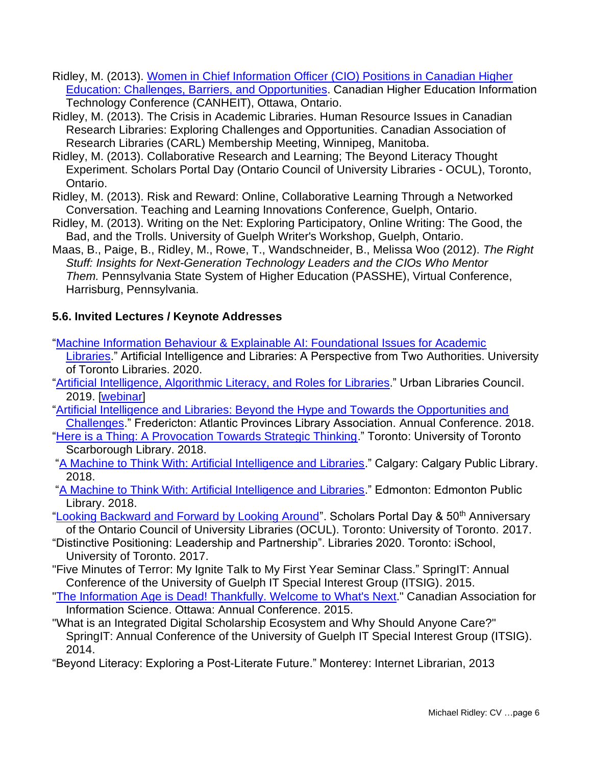- Ridley, M. (2013). Women in Chief [Information](https://www.dropbox.com/s/cqcpc6gnjhj2oyt/Ridley-%20Women%20CIOs%20CANHEIT%202013.pdf?dl=0) Officer (CIO) Positions in Canadian Higher Education: Challenges, Barriers, and [Opportunities.](https://www.dropbox.com/s/cqcpc6gnjhj2oyt/Ridley-%20Women%20CIOs%20CANHEIT%202013.pdf?dl=0) Canadian Higher Education Information Technology Conference (CANHEIT), Ottawa, Ontario.
- Ridley, M. (2013). The Crisis in Academic Libraries. Human Resource Issues in Canadian Research Libraries: Exploring Challenges and Opportunities. Canadian Association of Research Libraries (CARL) Membership Meeting, Winnipeg, Manitoba.
- Ridley, M. (2013). Collaborative Research and Learning; The Beyond Literacy Thought Experiment. Scholars Portal Day (Ontario Council of University Libraries - OCUL), Toronto, Ontario.
- Ridley, M. (2013). Risk and Reward: Online, Collaborative Learning Through a Networked Conversation. Teaching and Learning Innovations Conference, Guelph, Ontario.
- Ridley, M. (2013). Writing on the Net: Exploring Participatory, Online Writing: The Good, the Bad, and the Trolls. University of Guelph Writer's Workshop, Guelph, Ontario.
- Maas, B., Paige, B., Ridley, M., Rowe, T., Wandschneider, B., Melissa Woo (2012). *The Right Stuff: Insights for Next-Generation Technology Leaders and the CIOs Who Mentor Them.* Pennsylvania State System of Higher Education (PASSHE), Virtual Conference, Harrisburg, Pennsylvania.

# **5.6. Invited Lectures / Keynote Addresses**

- ["Machine Information Behaviour & Explainable AI: Foundational Issues for Academic](https://www.dropbox.com/s/3hyfbytnqxxs91t/Ridley%20-%20MIB%20XAI%20UofT%202020.pdf?dl=0) 
	- [Libraries.](https://www.dropbox.com/s/3hyfbytnqxxs91t/Ridley%20-%20MIB%20XAI%20UofT%202020.pdf?dl=0)" Artificial Intelligence and Libraries: A Perspective from Two Authorities. University of Toronto Libraries. 2020.
- ["Artificial Intelligence, Algorithmic Literacy, and Roles for Libraries.](https://www.dropbox.com/s/kl6q3zn8dece9ls/Ridley%20-%20AI%20AL%20Libraries%20Presentation%20ULC%20Webinar%202019.pdf?dl=0)" Urban Libraries Council. 2019. [\[webinar\]](https://vimeo.com/319361538/b9070d369f)
- ["Artificial Intelligence and Libraries: Beyond the Hype and Towards the Opportunities and](https://www.dropbox.com/s/li1c7gpd2ebnx6y/Ridley%20APLA%20AI%20Keynote%202018.pdf?dl=0)  [Challenges.](https://www.dropbox.com/s/li1c7gpd2ebnx6y/Ridley%20APLA%20AI%20Keynote%202018.pdf?dl=0)" Fredericton: Atlantic Provinces Library Association. Annual Conference. 2018.
- ["Here is a Thing: A Provocation Towards Strategic Thinking.](https://www.dropbox.com/s/3y5hhjm3i2ca99z/Ridley%20-%20UTSC%20Lib%20Strat%20Planning.pdf?dl=0)" Toronto: University of Toronto Scarborough Library. 2018.
- ["A Machine to Think With: Artificial Intelligence and Libraries.](https://www.dropbox.com/s/1asxkgqtfusvj9b/Ridley%20-%20CPL%20Libs%20AI%202018.pptx?dl=0)" Calgary: Calgary Public Library. 2018.

["A Machine to Think With: Artificial Intelligence and Libraries.](https://www.dropbox.com/s/gs1k66x2w5ibiyo/Ridley%20-%20EPL%20Libs%20AI%202018.pdf?dl=0)" Edmonton: Edmonton Public Library. 2018.

- ["Looking Backward and Forward by Looking Around"](https://www.dropbox.com/s/03c24q1fkzo03ez/Ridley%20-%20OCUL%20Keynote%20Looking%20Around%202017.pdf?dl=0). Scholars Portal Day & 50<sup>th</sup> Anniversary of the Ontario Council of University Libraries (OCUL). Toronto: University of Toronto. 2017.
- "Distinctive Positioning: Leadership and Partnership". Libraries 2020. Toronto: iSchool, University of Toronto. 2017.
- "Five Minutes of Terror: My Ignite Talk to My First Year Seminar Class." SpringIT: Annual Conference of the University of Guelph IT Special Interest Group (ITSIG). 2015.
- "The [Information](https://www.dropbox.com/s/w5bkkqvr0ku8zm4/RIdley%20-%20CAIS%20Keynote%20Post%20Literacy%202015.pdf?dl=0) Age is Dead! Thankfully. Welcome to What's Next." Canadian Association for Information Science. Ottawa: Annual Conference. 2015.
- "What is an Integrated Digital Scholarship Ecosystem and Why Should Anyone Care?" SpringIT: Annual Conference of the University of Guelph IT Special Interest Group (ITSIG). 2014.

"Beyond Literacy: Exploring a Post-Literate Future." Monterey: Internet Librarian, 2013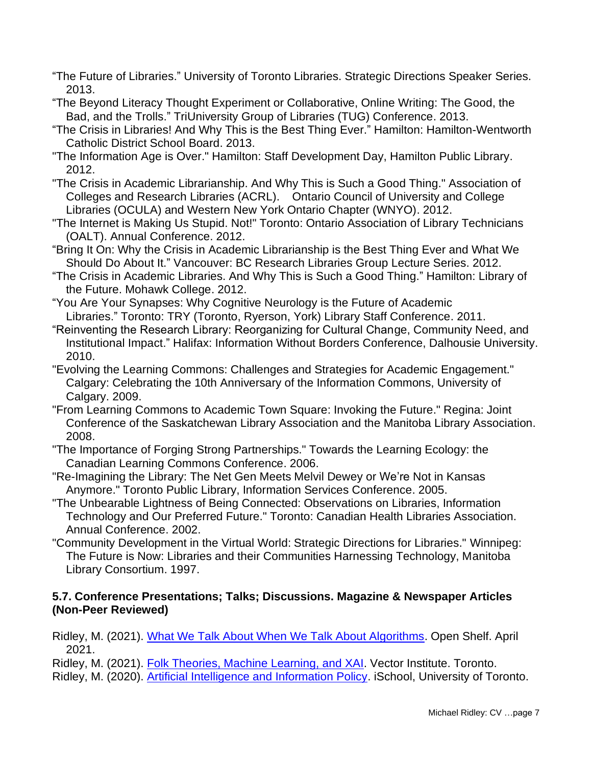- "The Future of Libraries." University of Toronto Libraries. Strategic Directions Speaker Series. 2013.
- "The Beyond Literacy Thought Experiment or Collaborative, Online Writing: The Good, the Bad, and the Trolls." TriUniversity Group of Libraries (TUG) Conference. 2013.
- "The Crisis in Libraries! And Why This is the Best Thing Ever." Hamilton: Hamilton-Wentworth Catholic District School Board. 2013.
- "The Information Age is Over." Hamilton: Staff Development Day, Hamilton Public Library. 2012.
- "The Crisis in Academic Librarianship. And Why This is Such a Good Thing." Association of Colleges and Research Libraries (ACRL). Ontario Council of University and College Libraries (OCULA) and Western New York Ontario Chapter (WNYO). 2012.
- "The Internet is Making Us Stupid. Not!" Toronto: Ontario Association of Library Technicians (OALT). Annual Conference. 2012.
- "Bring It On: Why the Crisis in Academic Librarianship is the Best Thing Ever and What We Should Do About It." Vancouver: BC Research Libraries Group Lecture Series. 2012.
- "The Crisis in Academic Libraries. And Why This is Such a Good Thing." Hamilton: Library of the Future. Mohawk College. 2012.
- "You Are Your Synapses: Why Cognitive Neurology is the Future of Academic Libraries." Toronto: TRY (Toronto, Ryerson, York) Library Staff Conference. 2011.
- "Reinventing the Research Library: Reorganizing for Cultural Change, Community Need, and Institutional Impact." Halifax: Information Without Borders Conference, Dalhousie University. 2010.
- "Evolving the Learning Commons: Challenges and Strategies for Academic Engagement." Calgary: Celebrating the 10th Anniversary of the Information Commons, University of Calgary. 2009.
- "From Learning Commons to Academic Town Square: Invoking the Future." Regina: Joint Conference of the Saskatchewan Library Association and the Manitoba Library Association. 2008.
- "The Importance of Forging Strong Partnerships." Towards the Learning Ecology: the Canadian Learning Commons Conference. 2006.
- "Re-Imagining the Library: The Net Gen Meets Melvil Dewey or We're Not in Kansas Anymore." Toronto Public Library, Information Services Conference. 2005.
- "The Unbearable Lightness of Being Connected: Observations on Libraries, Information Technology and Our Preferred Future." Toronto: Canadian Health Libraries Association. Annual Conference. 2002.
- "Community Development in the Virtual World: Strategic Directions for Libraries." Winnipeg: The Future is Now: Libraries and their Communities Harnessing Technology, Manitoba Library Consortium. 1997.

### **5.7. Conference Presentations; Talks; Discussions. Magazine & Newspaper Articles (Non-Peer Reviewed)**

Ridley, M. (2021). [What We Talk About When We Talk About Algorithms.](https://open-shelf.ca/20210412-what-we-talk-about-when-we-talk-about-algorithms/) Open Shelf. April 2021.

Ridley, M. (2021). [Folk Theories, Machine Learning, and XAI.](https://www.dropbox.com/s/ddus9femf2445qk/Ridley%20-%20Folk%20Theories%20and%20XAI%20Vector%202021.pdf?dl=0) Vector Institute. Toronto.

Ridley, M. (2020). [Artificial Intelligence and Information Policy.](https://www.dropbox.com/s/7u9vryv7eb81u9q/Ridley%20-%20AI%20and%20Info%20Policy%20iSchool%202020.pdf?dl=0) iSchool, University of Toronto.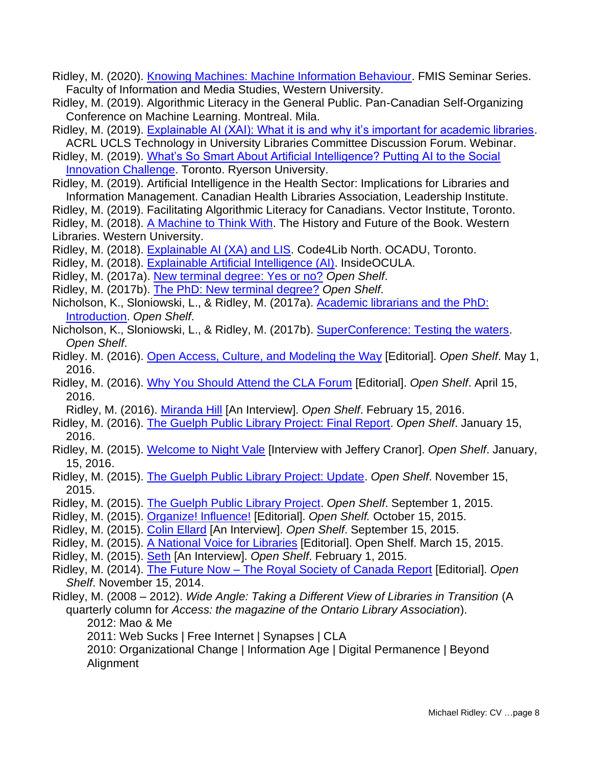- Ridley, M. (2020). [Knowing Machines: Machine Information Behaviour.](https://www.dropbox.com/s/sp377ao7wk8ve0t/Ridley%20-%20MIB%20FIMS%202020.pdf?dl=0) FMIS Seminar Series. Faculty of Information and Media Studies, Western University.
- Ridley, M. (2019). Algorithmic Literacy in the General Public. Pan-Canadian Self-Organizing Conference on Machine Learning. Montreal. Mila.
- Ridley, M. (2019). [Explainable AI \(XAI\): What it is and why it's important for academic libraries.](https://www.dropbox.com/s/4nwl95kznbaxh7k/Ridley%20-%20XAI%20-%20ACRL%202019.pdf?dl=0) ACRL UCLS Technology in University Libraries Committee Discussion Forum. Webinar.
- Ridley, M. (2019). [What's So Smart About Artificial Intelligence? Putting AI to the Social](https://www.dropbox.com/s/cnj8i7rmhjjl1ji/AI%20and%20Social%20Inclusion.pdf?dl=0)  [Innovation Challenge.](https://www.dropbox.com/s/cnj8i7rmhjjl1ji/AI%20and%20Social%20Inclusion.pdf?dl=0) Toronto. Ryerson University.
- Ridley, M. (2019). Artificial Intelligence in the Health Sector: Implications for Libraries and Information Management. Canadian Health Libraries Association, Leadership Institute.
- Ridley, M. (2019). Facilitating Algorithmic Literacy for Canadians. Vector Institute, Toronto.
- Ridley, M. (2018). [A Machine to Think With.](https://www.dropbox.com/s/cevgiqkzy43tqsi/Ridley%20-%20Machine%20Think%20With.pdf?dl=0) The History and Future of the Book. Western Libraries. Western University.
- Ridley, M. (2018). [Explainable AI \(XA\) and LIS.](https://www.dropbox.com/s/8japq9x3aa5q60f/Ridley%20-%20Code4LibN%20AI%202018.pdf?dl=0) Code4Lib North. OCADU, Toronto.
- Ridley, M. (2018). [Explainable Artificial Intelligence \(AI\).](http://open-shelf.ca/180201-ocula-explainable-artificial-intelligence/) InsideOCULA.
- Ridley, M. (2017a). [New terminal degree: Yes or no?](http://www.open-shelf.ca/170301-new-terminal-degree/) *Open Shelf*.
- Ridley, M. (2017b). [The PhD: New terminal degree?](http://www.open-shelf.ca/170301-phd-the-new-terminal-degree-for-academic-librarians/) *Open Shelf*.
- Nicholson, K., Sloniowski, L., & Ridley, M. (2017a). [Academic librarians and the PhD:](http://www.open-shelf.ca/20170301-phd-introduction/)  [Introduction.](http://www.open-shelf.ca/20170301-phd-introduction/) *Open Shelf*.
- Nicholson, K., Sloniowski, L., & Ridley, M. (2017b). [SuperConference: Testing the waters.](http://www.open-shelf.ca/20170301-the-superconference-session/) *Open Shelf*.
- Ridley. M. (2016). [Open Access, Culture, and Modeling the Way](http://www.open-shelf.ca/160501-modeling-the-way/) [Editorial]. *Open Shelf*. May 1, 2016.
- Ridley, M. (2016). [Why You Should Attend the CLA Forum](http://www.open-shelf.ca/160415-cla-forum/) [Editorial]. *Open Shelf*. April 15, 2016.
- Ridley, M. (2016). [Miranda Hill](http://www.open-shelf.ca/160215-miranda-hill/) [An Interview]. *Open Shelf*. February 15, 2016.
- Ridley, M. (2016). [The Guelph Public Library Project: Final Report.](http://www.open-shelf.ca/160115-gpl-final-report/) *Open Shelf*. January 15, 2016.
- Ridley, M. (2015). [Welcome to Night Vale](http://www.open-shelf.ca/night-vale/) [Interview with Jeffery Cranor]. *Open Shelf*. January, 15, 2016.
- Ridley, M. (2015). [The Guelph Public Library Project: Update.](http://www.open-shelf.ca/151115-gpl-update/) *Open Shelf*. November 15, 2015.
- Ridley, M. (2015). [The Guelph Public Library Project.](http://www.open-shelf.ca/150901-guelph-library-project/) *Open Shelf*. September 1, 2015.
- Ridley, M. (2015). [Organize! Influence!](http://www.open-shelf.ca/151015-influence/) [Editorial]. *Open Shelf.* October 15, 2015.
- Ridley, M. (2015). [Colin Ellard](http://www.open-shelf.ca/150901-colin-ellard/) [An Interview]. *Open Shelf*. September 15, 2015.
- Ridley, M. (2015). [A National Voice for Libraries](http://www.open-shelf.ca/150315-national-voice/) [Editorial]. Open Shelf. March 15, 2015.
- Ridley, M. (2015). [Seth](http://www.open-shelf.ca/seth/) [An Interview]. *Open Shelf*. February 1, 2015.
- Ridley, M. (2014). The Future Now [The Royal Society of Canada Report](http://www.open-shelf.ca/rsc-report/) [Editorial]. *Open Shelf*. November 15, 2014.
- Ridley, M. (2008 2012). *Wide Angle: Taking a Different View of Libraries in Transition* (A quarterly column for *Access: the magazine of the Ontario Library Association*).
	- 2012: Mao & Me
	- 2011: Web Sucks | Free Internet | Synapses | CLA
	- 2010: Organizational Change | Information Age | Digital Permanence | Beyond Alignment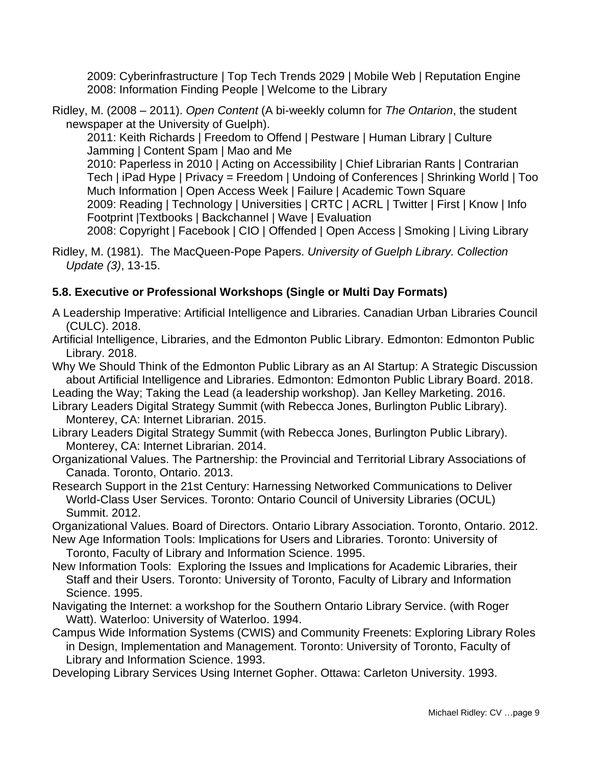2009: Cyberinfrastructure | Top Tech Trends 2029 | Mobile Web | Reputation Engine 2008: Information Finding People | Welcome to the Library

Ridley, M. (2008 – 2011). *Open Content* (A bi-weekly column for *The Ontarion*, the student newspaper at the University of Guelph).

2011: Keith Richards | Freedom to Offend | Pestware | Human Library | Culture Jamming | Content Spam | Mao and Me

2010: Paperless in 2010 | Acting on Accessibility | Chief Librarian Rants | Contrarian Tech | iPad Hype | Privacy = Freedom | Undoing of Conferences | Shrinking World | Too Much Information | Open Access Week | Failure | Academic Town Square 2009: Reading | Technology | Universities | CRTC | ACRL | Twitter | First | Know | Info Footprint |Textbooks | Backchannel | Wave | Evaluation 2008: Copyright | Facebook | CIO | Offended | Open Access | Smoking | Living Library

Ridley, M. (1981). The MacQueen-Pope Papers. *University of Guelph Library. Collection Update (3)*, 13-15.

# **5.8. Executive or Professional Workshops (Single or Multi Day Formats)**

- A Leadership Imperative: Artificial Intelligence and Libraries. Canadian Urban Libraries Council (CULC). 2018.
- Artificial Intelligence, Libraries, and the Edmonton Public Library. Edmonton: Edmonton Public Library. 2018.

Why We Should Think of the Edmonton Public Library as an AI Startup: A Strategic Discussion about Artificial Intelligence and Libraries. Edmonton: Edmonton Public Library Board. 2018.

- Leading the Way; Taking the Lead (a leadership workshop). Jan Kelley Marketing. 2016.
- Library Leaders Digital Strategy Summit (with Rebecca Jones, Burlington Public Library). Monterey, CA: Internet Librarian. 2015.
- Library Leaders Digital Strategy Summit (with Rebecca Jones, Burlington Public Library). Monterey, CA: Internet Librarian. 2014.
- Organizational Values. The Partnership: the Provincial and Territorial Library Associations of Canada. Toronto, Ontario. 2013.

Research Support in the 21st Century: Harnessing Networked Communications to Deliver World-Class User Services. Toronto: Ontario Council of University Libraries (OCUL) Summit. 2012.

Organizational Values. Board of Directors. Ontario Library Association. Toronto, Ontario. 2012.

- New Age Information Tools: Implications for Users and Libraries. Toronto: University of Toronto, Faculty of Library and Information Science. 1995.
- New Information Tools: Exploring the Issues and Implications for Academic Libraries, their Staff and their Users. Toronto: University of Toronto, Faculty of Library and Information Science. 1995.

Navigating the Internet: a workshop for the Southern Ontario Library Service. (with Roger Watt). Waterloo: University of Waterloo. 1994.

Campus Wide Information Systems (CWIS) and Community Freenets: Exploring Library Roles in Design, Implementation and Management. Toronto: University of Toronto, Faculty of Library and Information Science. 1993.

Developing Library Services Using Internet Gopher. Ottawa: Carleton University. 1993.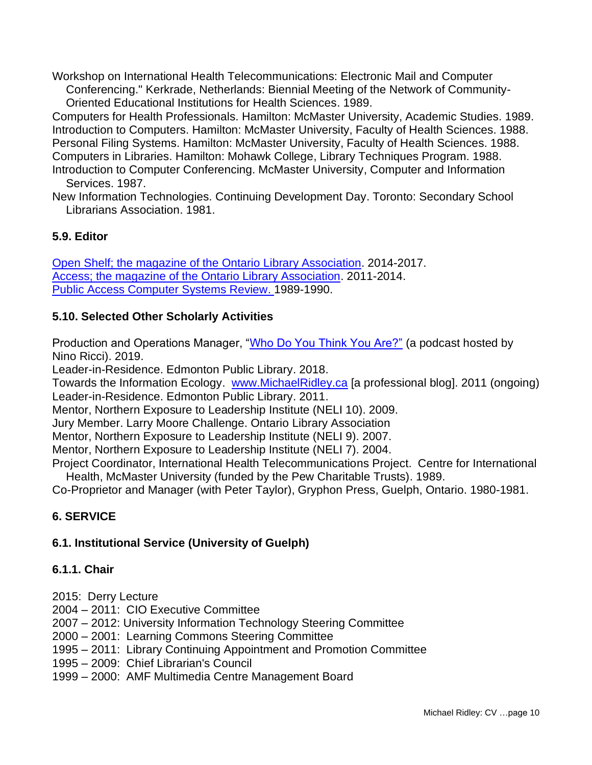Workshop on International Health Telecommunications: Electronic Mail and Computer Conferencing." Kerkrade, Netherlands: Biennial Meeting of the Network of Community-Oriented Educational Institutions for Health Sciences. 1989.

Computers for Health Professionals. Hamilton: McMaster University, Academic Studies. 1989. Introduction to Computers. Hamilton: McMaster University, Faculty of Health Sciences. 1988. Personal Filing Systems. Hamilton: McMaster University, Faculty of Health Sciences. 1988. Computers in Libraries. Hamilton: Mohawk College, Library Techniques Program. 1988. Introduction to Computer Conferencing. McMaster University, Computer and Information Services. 1987.

New Information Technologies. Continuing Development Day. Toronto: Secondary School Librarians Association. 1981.

### **5.9. Editor**

Open Shelf; the magazine of the Ontario Library [Association.](http://www.open-shelf.ca/) 2014-2017. [Access; the magazine of the Ontario Library Association.](http://www.accessola.org/web/OLA/Media/OLA/Media/Publications/Open-Shelf.aspx) 2011-2014. [Public Access Computer Systems Review.](http://info.lib.uh.edu/pacsrev.html) 1989-1990.

### **5.10. Selected Other Scholarly Activities**

Production and Operations Manager, ["Who Do You Think You Are?"](https://www.uwo.ca/podcasts/who-do-you-think-you-are/) (a podcast hosted by Nino Ricci). 2019.

Leader-in-Residence. Edmonton Public Library. 2018.

Towards the Information Ecology. [www.MichaelRidley.ca](http://www.michaelridley.ca/) [a professional blog]. 2011 (ongoing) Leader-in-Residence. Edmonton Public Library. 2011.

Mentor, Northern Exposure to Leadership Institute (NELI 10). 2009.

Jury Member. Larry Moore Challenge. Ontario Library Association

Mentor, Northern Exposure to Leadership Institute (NELI 9). 2007.

Mentor, Northern Exposure to Leadership Institute (NELI 7). 2004.

Project Coordinator, International Health Telecommunications Project. Centre for International Health, McMaster University (funded by the Pew Charitable Trusts). 1989.

Co-Proprietor and Manager (with Peter Taylor), Gryphon Press, Guelph, Ontario. 1980-1981.

### **6. SERVICE**

### **6.1. Institutional Service (University of Guelph)**

#### **6.1.1. Chair**

- 2015: Derry Lecture
- 2004 2011: CIO Executive Committee
- 2007 2012: University Information Technology Steering Committee
- 2000 2001: Learning Commons Steering Committee
- 1995 2011: Library Continuing Appointment and Promotion Committee
- 1995 2009: Chief Librarian's Council
- 1999 2000: AMF Multimedia Centre Management Board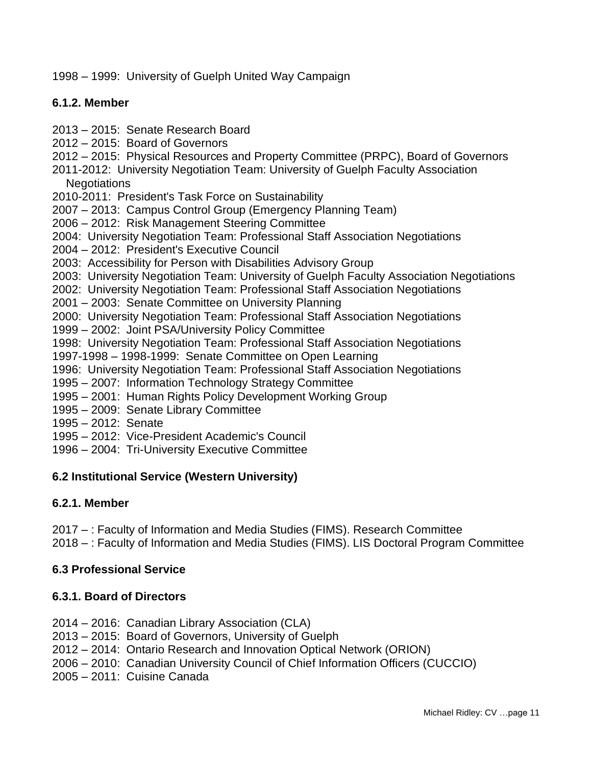1998 – 1999: University of Guelph United Way Campaign

#### **6.1.2. Member**

- 2013 2015: Senate Research Board
- 2012 2015: Board of Governors
- 2012 2015: Physical Resources and Property Committee (PRPC), Board of Governors
- 2011-2012: University Negotiation Team: University of Guelph Faculty Association **Negotiations**
- 2010-2011: President's Task Force on Sustainability
- 2007 2013: Campus Control Group (Emergency Planning Team)
- 2006 2012: Risk Management Steering Committee
- 2004: University Negotiation Team: Professional Staff Association Negotiations
- 2004 2012: President's Executive Council
- 2003: Accessibility for Person with Disabilities Advisory Group
- 2003: University Negotiation Team: University of Guelph Faculty Association Negotiations
- 2002: University Negotiation Team: Professional Staff Association Negotiations
- 2001 2003: Senate Committee on University Planning
- 2000: University Negotiation Team: Professional Staff Association Negotiations
- 1999 2002: Joint PSA/University Policy Committee
- 1998: University Negotiation Team: Professional Staff Association Negotiations
- 1997-1998 1998-1999: Senate Committee on Open Learning
- 1996: University Negotiation Team: Professional Staff Association Negotiations
- 1995 2007: Information Technology Strategy Committee
- 1995 2001: Human Rights Policy Development Working Group
- 1995 2009: Senate Library Committee
- 1995 2012: Senate
- 1995 2012: Vice-President Academic's Council
- 1996 2004: Tri-University Executive Committee

#### **6.2 Institutional Service (Western University)**

#### **6.2.1. Member**

2017 – : Faculty of Information and Media Studies (FIMS). Research Committee

# 2018 – : Faculty of Information and Media Studies (FIMS). LIS Doctoral Program Committee

#### **6.3 Professional Service**

#### **6.3.1. Board of Directors**

- 2014 2016: Canadian Library Association (CLA)
- 2013 2015: Board of Governors, University of Guelph
- 2012 2014: Ontario Research and Innovation Optical Network (ORION)
- 2006 2010: Canadian University Council of Chief Information Officers (CUCCIO)
- 2005 2011: Cuisine Canada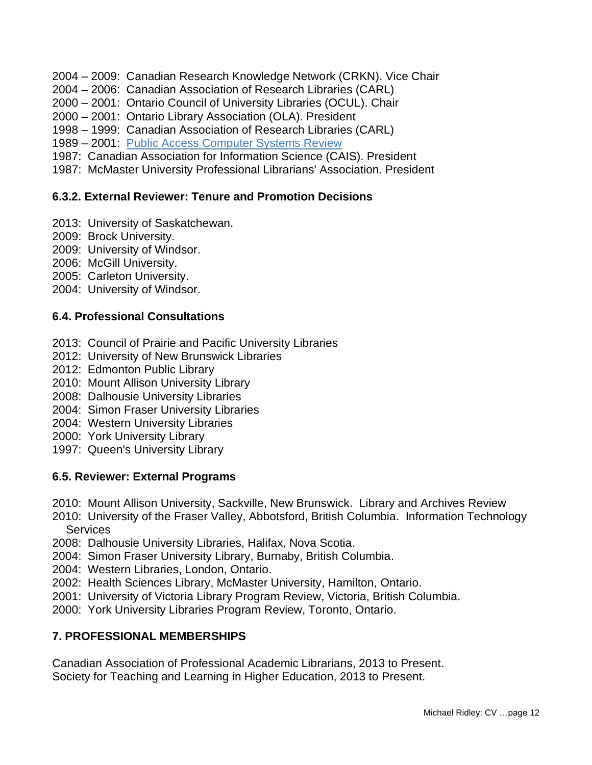- 2004 2009: Canadian Research Knowledge Network (CRKN). Vice Chair
- 2004 2006: Canadian Association of Research Libraries (CARL)
- 2000 2001: Ontario Council of University Libraries (OCUL). Chair
- 2000 2001: Ontario Library Association (OLA). President
- 1998 1999: Canadian Association of Research Libraries (CARL)
- 1989 2001: Public Access [Computer](http://info.lib.uh.edu/pacsrev.html) Systems Review
- 1987: Canadian Association for Information Science (CAIS). President
- 1987: McMaster University Professional Librarians' Association. President

#### **6.3.2. External Reviewer: Tenure and Promotion Decisions**

- 2013: University of Saskatchewan.
- 2009: Brock University.
- 2009: University of Windsor.
- 2006: McGill University.
- 2005: Carleton University.
- 2004: University of Windsor.

#### **6.4. Professional Consultations**

- 2013: Council of Prairie and Pacific University Libraries
- 2012: University of New Brunswick Libraries
- 2012: Edmonton Public Library
- 2010: Mount Allison University Library
- 2008: Dalhousie University Libraries
- 2004: Simon Fraser University Libraries
- 2004: Western University Libraries
- 2000: York University Library
- 1997: Queen's University Library

#### **6.5. Reviewer: External Programs**

- 2010: Mount Allison University, Sackville, New Brunswick. Library and Archives Review
- 2010: University of the Fraser Valley, Abbotsford, British Columbia. Information Technology **Services**
- 2008: Dalhousie University Libraries, Halifax, Nova Scotia.
- 2004: Simon Fraser University Library, Burnaby, British Columbia.
- 2004: Western Libraries, London, Ontario.
- 2002: Health Sciences Library, McMaster University, Hamilton, Ontario.
- 2001: University of Victoria Library Program Review, Victoria, British Columbia.
- 2000: York University Libraries Program Review, Toronto, Ontario.

#### **7. PROFESSIONAL MEMBERSHIPS**

Canadian Association of Professional Academic Librarians, 2013 to Present. Society for Teaching and Learning in Higher Education, 2013 to Present.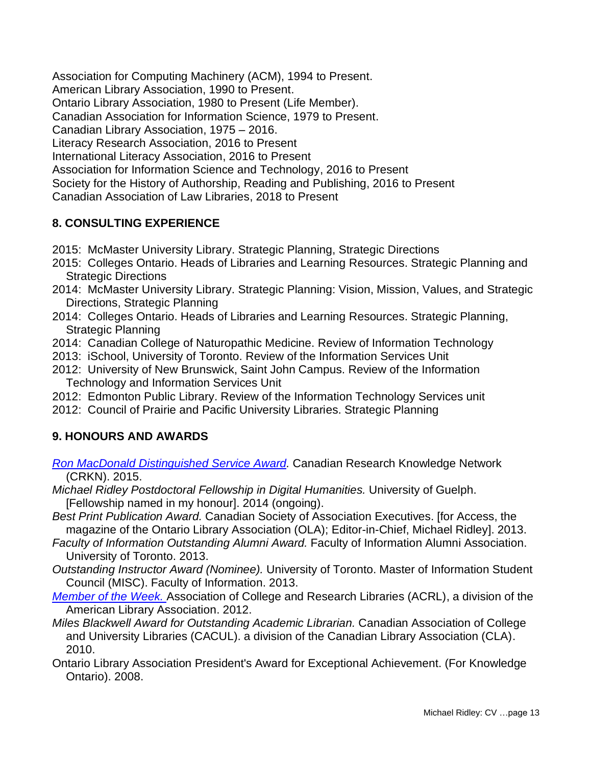Association for Computing Machinery (ACM), 1994 to Present. American Library Association, 1990 to Present. Ontario Library Association, 1980 to Present (Life Member). Canadian Association for Information Science, 1979 to Present. Canadian Library Association, 1975 – 2016. Literacy Research Association, 2016 to Present International Literacy Association, 2016 to Present Association for Information Science and Technology, 2016 to Present Society for the History of Authorship, Reading and Publishing, 2016 to Present Canadian Association of Law Libraries, 2018 to Present

# **8. CONSULTING EXPERIENCE**

- 2015: McMaster University Library. Strategic Planning, Strategic Directions
- 2015: Colleges Ontario. Heads of Libraries and Learning Resources. Strategic Planning and Strategic Directions
- 2014: McMaster University Library. Strategic Planning: Vision, Mission, Values, and Strategic Directions, Strategic Planning
- 2014: Colleges Ontario. Heads of Libraries and Learning Resources. Strategic Planning, Strategic Planning
- 2014: Canadian College of Naturopathic Medicine. Review of Information Technology
- 2013: iSchool, University of Toronto. Review of the Information Services Unit
- 2012: University of New Brunswick, Saint John Campus. Review of the Information Technology and Information Services Unit
- 2012: Edmonton Public Library. Review of the Information Technology Services unit
- 2012: Council of Prairie and Pacific University Libraries. Strategic Planning

### **9. HONOURS AND AWARDS**

- *Ron MacDonald [Distinguished](https://www.crkn-rcdr.ca/node/15521) Service Award.* Canadian Research Knowledge Network (CRKN). 2015.
- *Michael Ridley Postdoctoral Fellowship in Digital Humanities.* University of Guelph. [Fellowship named in my honour]. 2014 (ongoing).
- *Best Print Publication Award.* Canadian Society of Association Executives. [for Access, the magazine of the Ontario Library Association (OLA); Editor-in-Chief, Michael Ridley]. 2013.
- *Faculty of Information Outstanding Alumni Award.* Faculty of Information Alumni Association. University of Toronto. 2013.
- *Outstanding Instructor Award (Nominee).* University of Toronto. Master of Information Student Council (MISC). Faculty of Information. 2013.
- *[Member](http://www.acrl.ala.org/acrlinsider/archives/6376) of the Week.* Association of College and Research Libraries (ACRL), a division of the American Library Association. 2012.
- *Miles Blackwell Award for Outstanding Academic Librarian.* Canadian Association of College and University Libraries (CACUL). a division of the Canadian Library Association (CLA). 2010.
- Ontario Library Association President's Award for Exceptional Achievement. (For Knowledge Ontario). 2008.